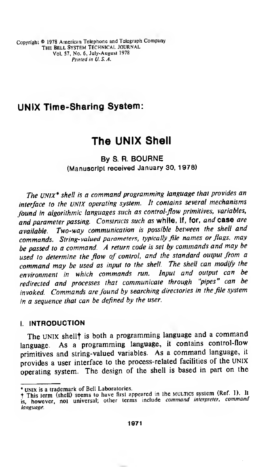Copyright © <sup>1978</sup> American Telephone and Telegraph Company THE BELL SYSTEM TECHNICAL JOURNAL Vol. 57, No. 6, July-August 1978 Printed in U.S.A.

# UNIX Time-Sharing System:

# The UNIX Shell

# By S. R. BOURNE (Manuscript received January 30, 1978)

The UNIX\* shell is <sup>a</sup> command programming language that provides an interface to the UNIX operating system. It contains several mechanisms found in algorithmic languages such as control-flow primitives, variables, and parameter passing. Constructs such as while, if, for, and case are available. Two-way communication is possible between the shell and commands. String-valued parameters, typically file names or flags, may be passed to <sup>a</sup> command. A return code is set by commands and may be used to determine the flow of control, and the standard output from <sup>a</sup> command may be used as input to the shell. The shell can modify the environment in which commands run. Input and output can be redirected and processes that communicate through "pipes" can be invoked. Commands are found by searching directories in the file system in a sequence that can be defined by the user.

# I. INTRODUCTION

The UNIX shell<sup>†</sup> is both a programming language and a command language. As <sup>a</sup> programming language, it contains control-flow primitives and string-valued variables. As <sup>a</sup> command language, it provides <sup>a</sup> user interface to the process-related facilities of the UNIX operating system. The design of the shell is based in part on the

<sup>•</sup> unix is <sup>a</sup> trademark of Bell Laboratories.

<sup>t</sup> This term (shell) seems to have first appeared in the multics system (Ret. I). It is, however, not universal; other terms include command interpreter, command language.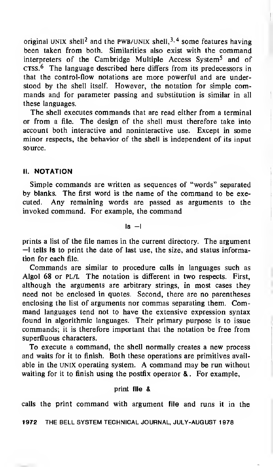original UNIX shell<sup>2</sup> and the PWB/UNIX shell,  $3, 4$  some features having been taken from both. Similarities also exist with the command interpreters of the Cambridge Multiple Access System<sup>5</sup> and of  $CTSS<sup>6</sup>$ . The language described here differs from its predecessors in that the control-flow notations are more powerful and are understood by the shell itself. However, the notation for simple com mands and for parameter passing and substitution is similar in all these languages.

The shell executes commands that are read either from a terminal or from <sup>a</sup> file. The design of the shell must therefore take into account both interactive and noninteractive use. Except in some minor respects, the behavior of the shell is independent of its input source.

# II. NOTATION

Simple commands are written as sequences of "words" separated by blanks. The first word is the name of the command to be executed. Any remaining words are passed as arguments to the invoked command. For example, the command

 $\left| s \right|$  -I

prints a list of the file names in the current directory. The argument  $-1$  tells Is to print the date of last use, the size, and status information for each file.

Commands are similar to procedure calls in languages such as Algol 68 or PL/I. The notation is different in two respects. First, although the arguments are arbitrary strings, in most cases they need not be enclosed in quotes. Second, there are no parentheses enclosing the list of arguments nor commas separating them. Command languages tend not to have the extensive expression syntax found in algorithmic languages. Their primary purpose is to issue commands; it is therefore important that the notation be free from superfluous characters.

To execute a command, the shell normally creates <sup>a</sup> new process and waits for it to finish. Both these operations are primitives available in the UNIX operating system. A command may be run without waiting for it to finish using the postfix operator **&**. For example,

# print file &

calls the print command with argument file and runs it in the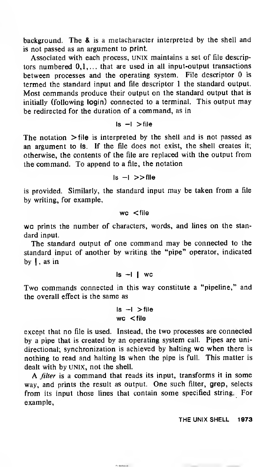background. The & is a metacharacter interpreted by the shell and is not passed as an argument to print.

Associated with each process, UNIX maintains a set of file descriptors numbered 0,1,... that are used in all input-output transactions between processes and the operating system. File descriptor 0 is termed the standard input and file descriptor <sup>1</sup> the standard output. Most commands produce their output on the standard output that is initially (following login) connected to a terminal. This output may be redirected for the duration of <sup>a</sup> command, as in

 $|s -1| > 1$ 

The notation  $\triangleright$  file is interpreted by the shell and is not passed as an argument to Is. If the file does not exist, the shell creates it; otherwise, the contents of the file are replaced with the output from the command. To append to a file, the notation

$$
|s -| >> f
$$

is provided. Similarly, the standard input may be taken from a file by writing, for example,

wc <file

wc prints the number of characters, words, and lines on the standard input.

The standard output of one command may be connected to the standard input of another by writing the "pipe" operator, indicated by <sup>|</sup> , as in

 $Is - I$  | wc

Two commands connected in this way constitute <sup>a</sup> "pipeline," and the overall effect is the same as

$$
\begin{array}{c}\n \text{Is} - \text{I} > \text{file} \\
\text{wc} < \text{file}\n \end{array}
$$

except that no file is used. Instead, the two processes are connected by a pipe that is created by an operating system call. Pipes are unidirectional; synchronization is achieved by halting wc when there is nothing to read and halting Is when the pipe is full. This matter is dealt with by UNIX, not the shell.

A filter is <sup>a</sup> command that reads its input, transforms it in some way, and prints the result as output. One such filter, grep, selects from its input those lines that contain some specified string. For example,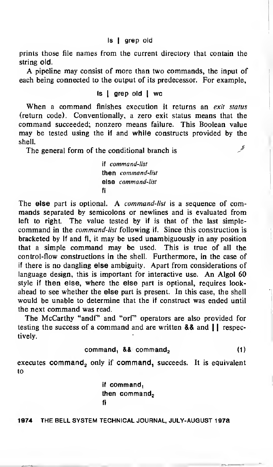prints those file names from the current directory that contain the string old.

A pipeline may consist of more than two commands, the input of each being connected to the output of its predecessor. For example,

# Is <sup>|</sup> grep old <sup>|</sup> wc

When a command finishes execution it returns an exit status (return code). Conventionally, a zero exit status means that the command succeeded; nonzero means failure. This Boolean value may be tested using the if and while constructs provided by the shell.

The general form of the conditional branch is

if command-list then command-list else command-list fi

The else part is optional. A *command-list* is a sequence of commands separated by semicolons or newlines and is evaluated from left to right. The value tested by if is that of the last simplecommand in the command-list following if. Since this construction is bracketed by if and fi, it may be used unambiguously in any position that a simple command may be used. This is true of all the control-flow constructions in the shell. Furthermore, in the case of if there is no dangling else ambiguity. Apart from considerations of language design, this is important for interactive use. An Algol 60 style if then else, where the else part is optional, requires lookahead to see whether the else part is present. In this case, the shell would be unable to determine that the if construct was ended until the next command was read.

The McCarthy "andf" and "orf" operators are also provided for testing the success of <sup>a</sup> command and are written && and <sup>|</sup> <sup>|</sup> respectively.

$$
command, & & command_2 \tag{1}
$$

executes command, only if command, succeeds. It is equivalent to

> if command, then command<sub>2</sub> fi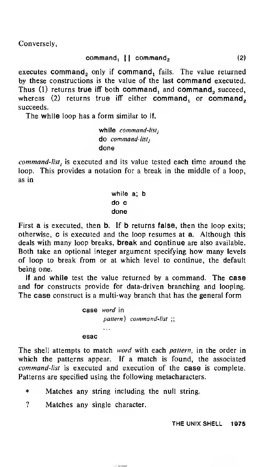Conversely,

$$
command_{1} | | | command_{2}
$$
 (2)

executes command, only if command, fails. The value returned by these constructions is the value of the last command executed. Thus (1) returns true iff both command, and command, succeed, whereas (2) returns true iff either command, or command, succeeds.

The while loop has a form similar to if.

while command-list, do command-list, done

command-list, is executed and its value tested each time around the loop. This provides a notation for a break in the middle of a loop, as in

> while a; b do c done

First a is executed, then **b**. If **b** returns false, then the loop exits; otherwise, c is executed and the loop resumes at a. Although this deals with many loop breaks, break and continue are also available. Both take an optional integer argument specifying how many levels of loop to break from or at which level to continue, the default being one.

if and while test the value returned by <sup>a</sup> command. The case and for constructs provide for data-driven branching and looping. The case construct is a multi-way branch that has the general form

> case word in pattern) command-list ;; esac

The shell attempts to match *word* with each *pattern*, in the order in which the patterns appear. If <sup>a</sup> match is found, the associated command-list is executed and execution of the case is complete. Patterns are specified using the following metacharacters.

- \* Matches any string including the null string.
- ? Matches any single character.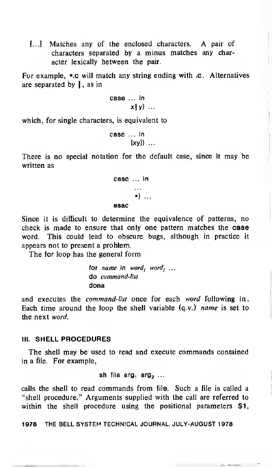[...] Matches any of the enclosed characters. A pair of characters separated by a minus matches any character lexically between the pair.

For example,  $\star$  c will match any string ending with .c. Alternatives are separated by <sup>|</sup> , as in

> case ... in  $x|y$ ...

which, for single characters, is equivalent to

case ... in [xy]) ...

There is no special notation for the default case, since it may be written as

> case ... in  $\ldots$ \*) ... esac

Since it is difficult to determine the equivalence of patterns, no check is made to ensure that only one pattern matches the case word. This could lead to obscure bugs, although in practice it appears not to present a problem.

The for loop has the general form

for *name* in word, word, ... do command-list done

and executes the command-list once for each word following in. Each time around the loop the shell variable  $(q, v)$  name is set to the next word.

#### III. SHELL PROCEDURES

The shell may be used to read and execute commands contained in a file. For example,

sh fila arg<sub>1</sub> arg<sub>2</sub> ...

calls the shell to read commands from file. Such a file is called a "shell procedure." Arguments supplied with the call are referred to within the shell procedure using the positional parameters \$1,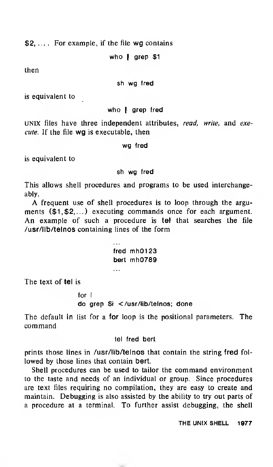\$2, .... For example, if the file wg contains

who | grep \$1

then

sh wg fred

is equivalent to

who <sup>|</sup> grep fred

unix files have three independent attributes, read, write, and execute. If the file wg is executable, then

wg fred

is equivalent to

### sh wg fred

This allows shell procedures and programs to be used interchangeably.

A frequent use of shell procedures is to loop through the arguments (\$1,\$2,...) executing commands once for each argument. An example of such <sup>a</sup> procedure is tel that searches the file /usr/lib/telnos containing lines of the form

> fred mh0123 bert mh0789

 $\ddotsc$ 

The text of tel is

for <sup>i</sup> do grep \$i < /usr/lib/telnos; done

The default in list for <sup>a</sup> for loop is the positional parameters. The command

#### tel fred bert

prints those lines in /usr/lib/telnos that contain the string fred followed by those lines that contain bert.

Shell procedures can be used to tailor the command environment to the taste and needs of an individual or group. Since procedures are text files requiring no compilation, they are easy to create and maintain. Debugging is also assisted by the ability to try out parts of <sup>a</sup> procedure at <sup>a</sup> terminal. To further assist debugging, the shell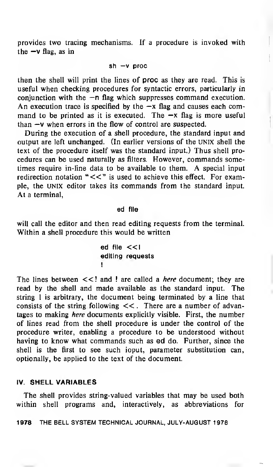provides two tracing mechanisms. If a procedure is invoked with the —v flag, as in

#### sh —v proc

then the shell will print the lines of proc as they are read. This is useful when checking procedures for syntactic errors, particularly in conjunction with the  $-n$  flag which suppresses command execution. An execution trace is specified by the  $-x$  flag and causes each command to be printed as it is executed. The  $-x$  flag is more useful than —v when errors in the flow of control are suspected.

During the execution of a shell procedure, the standard input and output are left unchanged. (In earlier versions of the UNIX shell the text of the procedure itself was the standard input.) Thus shell procedures can be used naturally as filters. However, commands sometimes require in-line data to be available to them. A special input redirection notation " $<<$ " is used to achieve this effect. For example, the UNIX editor takes its commands from the standard input. At a terminal,

#### ed file

will call the editor and then read editing requests from the terminal. Within a shell procedure this would be written

ed file «! editing requests

The lines between  $< and ! are called a *here* document; they are$ read by the shell and made available as the standard input. The string 1 is arbitrary, the document being terminated by a line that consists of the string following  $<<$ . There are a number of advantages to making here documents explicitly visible. First, the number of lines read from the shell procedure is under the control of the procedure writer, enabling a procedure to be understood without having to know what commands such as ed do. Further, since the shell is the first to see such ioput, parameter substitution can, optionally, be applied to the text of the document.

# IV. SHELL VARIABLES

The shell provides string-valued variables that may be used both within shell programs and, interactively, as abbreviations for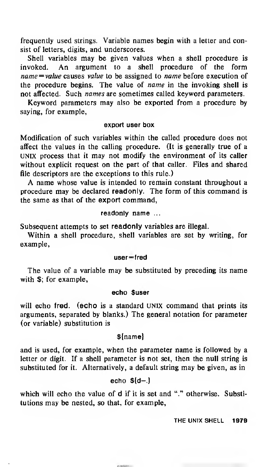frequently used strings. Variable names begin with a letter and consist of letters, digits, and underscores.

Shell variables may be given values when <sup>a</sup> shell procedure is invoked. An argument to <sup>a</sup> shell procedure of the form  $name = value$  causes value to be assigned to *name* before execution of the procedure begins. The value of name in the invoking shell is not affected. Such names are sometimes called keyword parameters.

Keyword parameters may also be exported from <sup>a</sup> procedure by saying, for example,

# export user box

Modification of such variables within the called procedure does not affect the values in the calling procedure. (It is generally true of a UNIX process that it may not modify the environment of its caller without explicit request on the part of that caller. Files and shared file descriptors are the exceptions to this rule.)

A name whose value is intended to remain constant throughout <sup>a</sup> procedure may be declared readonly. The form of this command is the same as that of the export command,

readonly name ...

Subsequent attempts to set readonly variables are illegal.

Within a shell procedure, shell variables are set by writing, for example,

#### $user = freq$

The value of a variable may be substituted by preceding its name with \$; for example,

#### echo Suser

will echo fred. (echo is a standard unix command that prints its arguments, separated by blanks.) The general notation for parameter (or variable) substitution is

### \${name}

and is used, for example, when the parameter name is followed by <sup>a</sup> letter or digit. If a shell parameter is not set, then the null string is substituted for it. Alternatively, <sup>a</sup> default string may be given, as in

#### echo \${d—.}

which will echo the value of d if it is set and "." otherwise. Substitutions may be nested, so that, for example,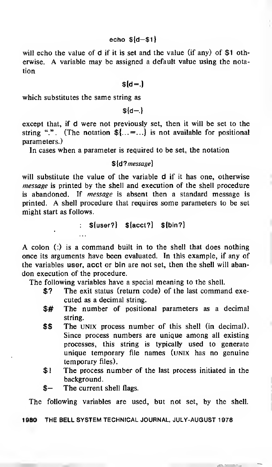will echo the value of d if it is set and the value (if any) of \$1 otherwise. A variable may be assigned <sup>a</sup> default value using the notation

# $${d=}$

which substitutes the same string as

\${d-.}

except that, if d were not previously set, then it will be set to the string ".". (The notation  $\{(... - \ldots)\}$  is not available for positional parameters.)

In cases when <sup>a</sup> parameter is required to be set, the notation

# \${d? message]

will substitute the value of the variable d if it has one, otherwise message is printed by the shell and execution of the shell procedure is abandoned. If *message* is absent then a standard message is printed. A shell procedure that requires some parameters to be set might start as follows.

: \${user?} \${acct?} \${bin?}

A colon (:) is <sup>a</sup> command built in to the shell that does nothing once its arguments have been evaluated. In this example, if any of the variables user, acct or bin are not set, then the shell will abandon execution of the procedure.

The following variables have a special meaning to the shell.

- \$? The exit status (return code) of the last command executed as a decimal string.
- \$# The number of positional parameters as a decimal string.
- \$\$ The UNIX process number of this shell (in decimal). Since process numbers are unique among all existing processes, this string is typically used to generate unique temporary file names (unix has no genuine temporary files)
- \$1 The process number of the last process initiated in the background.
- \$— The current shell flags.

The following variables are used, but not set, by the shell.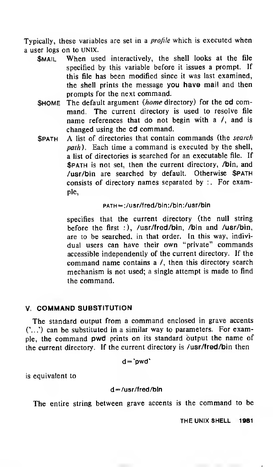Typically, these variables are set in a *profile* which is executed when a user logs on to UNIX.

- \$mail When used interactively, the shell looks at the file specified by this variable before it issues a prompt. If this file has been modified since it was last examined, the shell prints the message you have mail and then prompts for the next command.
- **SHOME** The default argument (home directory) for the cd command. The current directory is used to resolve file name references that do not begin with <sup>a</sup> /, and is changed using the cd command.
- **\$PATH** A list of directories that contain commands (the search path). Each time <sup>a</sup> command is executed by the shell, a list of directories is searched for an executable file. If \$path is not set, then the current directory, /bin, and /usr/bin are searched by default. Otherwise \$path consists of directory names separated by : . For example,

# PATH = :/usr/f red/bin :/bin:/usr/bin

specifies that the current directory (the null string before the first :), /usr/fred/bin, /bin and /usr/bin, are to be searched, in that order. In this way, individual users can have their own "private" commands accessible independently of the current directory. If the command name contains a /, then this directory search mechanism is not used; <sup>a</sup> single attempt is made to find the command.

# V. COMMAND SUBSTITUTION

The standard output from <sup>a</sup> command enclosed in grave accents (\ . .\*) can be substituted in <sup>a</sup> similar way to parameters. For example, the command pwd prints on its standard output the name of the current directory. If the current directory is /usr/fred/bin then

# $d = 'pwd'$

is equivalent to

### $d = \sqrt{sqrt}/\text{red/b}}$

The entire string between grave accents is the command to be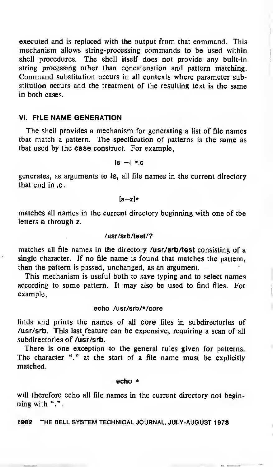executed and is replaced with the output from that command. This mechanism allows string-processing commands to be used within shell procedures. The shell itself does not provide any built-in string processing other than concatenation and pattern matching. Command substitution occurs in all contexts where parameter substitution occurs and the treatment of the resulting text is the same in both cases.

#### VI. FILE NAME GENERATION

The shell provides <sup>a</sup> mechanism for generating a list of file names that match <sup>a</sup> pattern. The specification of patterns is the same as that used by the case construct. For example,

$$
|s - | * c|
$$

generates, as arguments to Is, all file names in the current directory that end in  $\alpha$ .

#### $[a-z]$ \*

matches all names in the current directory beginning with one of the letters a through z.

#### /usr/srb/test/?

matches all file names in the directory /usr/srb/test consisting of a single character. If no file name is found that matches the pattern, then the pattern is passed, unchanged, as an argument.

This mechanism is useful both to save typing and to select names according to some pattern. It may also be used to find files. For example,

#### echo /usr/srb/\*/core

finds and prints the names of all core files in subdirectories of /usr/srb. This last feature can be expensive, requiring a scan of all subdirectories of /usr/srb.

There is one exception to the general rules given for patterns. The character "." at the start of <sup>a</sup> file name must be explicitly matched.

#### echo \*

will therefore echo all file names in the current directory not beginning with ".".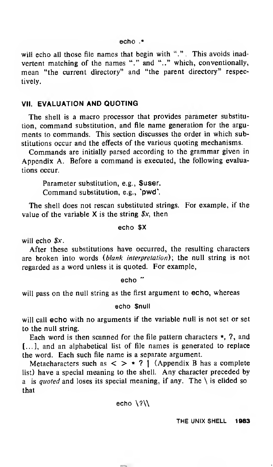will echo all those file names that begin with ".". This avoids inadvertent matching of the names "." and ".." which, conventionally, mean "the current directory" and "the parent directory" respectively.

# VII. EVALUATION AND QUOTING

The shell is a macro processor that provides parameter substitution, command substitution, and file name generation for the arguments to commands. This section discusses the order in which substitutions occur and the effects of the various quoting mechanisms.

Commands are initially parsed according to the grammar given in Appendix A. Before <sup>a</sup> command is executed, the following evaluations occur.

Parameter substitution, e.g., \$user. Command substitution, e.g., 'pwd'.

The shell does not rescan substituted strings. For example, if the value of the variable  $X$  is the string  $\oint x$ , then

### echo \$X

will echo  $x$ .

After these substitutions have occurred, the resulting characters are broken into words (blank interpretation); the null string is not regarded as a word unless it is quoted. For example,

### echo<sup>"</sup>

will pass on the null string as the first argument to echo, whereas

#### echo Snull

will call echo with no arguments if the variable null is not set or set to the null string.

Each word is then scanned for the file pattern characters \*, ?, and [...], and an alphabetical list of file names is generated to replace the word. Each such file name is a separate argument.

Metacharacters such as  $\langle \rangle$  \* ? | (Appendix B has a complete list) have a special meaning to the shell. Any character preceded by a is *quoted* and loses its special meaning, if any. The  $\iota$  is elided so that

echo \?\\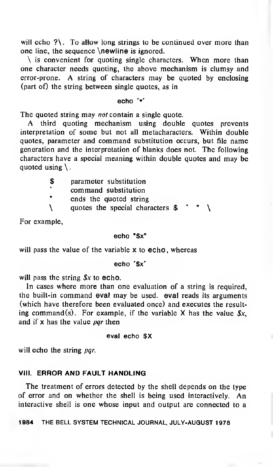will echo  $? \setminus$ . To allow long strings to be continued over more than one line, the sequence \newline is ignored.

 $\setminus$  is convenient for quoting single characters. When more than one character needs quoting, the above mechanism is clumsy and error-prone. A string of characters may be quoted by enclosing (part of) the string between single quotes, as in

#### echo '\*'

The quoted string may not contain a single quote.

third quoting mechanism using double quotes prevents interpretation of some but not all metacharacters. Within double quotes, parameter and command substitution occurs, but file name generation and the interpretation of blanks does not. The following characters have a special meaning within double quotes and may be quoted using  $\backslash$ .

| \$      | parameter substitution                           |  |
|---------|--------------------------------------------------|--|
| $\cdot$ | command substitution                             |  |
| ₩       | ends the quoted string                           |  |
|         | $\mathbf{H}$<br>quotes the special characters \$ |  |

For example,

echo "\$x"

will pass the value of the variable x to echo, whereas

echo '\$x'

will pass the string  $\oint x$  to echo.

In cases where more than one evaluation of a string is required, the built-in command eval may be used, eval reads its arguments (which have therefore been evaluated once) and executes the resulting command(s). For example, if the variable X has the value  $\mathcal{S}_x$ , and if  $x$  has the value par then

#### eval echo \$X

will echo the string par.

### VIII. ERROR AND FAULT HANDLING

The treatment of errors detected by the shell depends on the type of error and on whether the shell is being used interactively. An interactive shell is one whose input and output are connected to a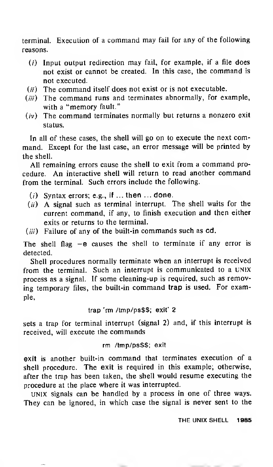terminal. Execution of <sup>a</sup> command may fail for any of the following reasons.

- $(i)$  Input output redirection may fail, for example, if a file does not exist or cannot be created. In this case, the command is not executed.
- $(i)$  The command itself does not exist or is not executable.
- $(iii)$  The command runs and terminates abnormally, for example, with a "memory fault."
- $(iv)$  The command terminates normally but returns a nonzero exit status.

In all of these cases, the shell will go on to execute the next command. Except for the last case, an error message will be printed by the shell.

All remaining errors cause the shell to exit from <sup>a</sup> command procedure. An interactive shell will return to read another command from the terminal. Such errors include the following.

- $(i)$  Syntax errors; e.g., if ... then  $\dots$  done.
- $(ii)$  A signal such as terminal interrupt. The shell waits for the current command, if any, to finish execution and then either exits or returns to the terminal.
- $(iii)$  Failure of any of the built-in commands such as  $cd$ .

The shell flag —e causes the shell to terminate if any error is detected.

Shell procedures normally terminate when an interrupt is received from the terminal. Such an interrupt is communicated to <sup>a</sup> UNIX process as <sup>a</sup> signal. If some cleaning-up is required, such as removing temporary files, the built-in command trap is used. For example,

# trap 'rm /tmp/ps\$\$; exit' 2

sets a trap for terminal interrupt (signal 2) and, if this interrupt is received, will execute the commands

# rm /tmp/ps\$\$; exit

exit is another built-in command that terminates execution of <sup>a</sup> shell procedure. The exit is required in this example; otherwise, after the trap has been taken, the shell would resume executing the procedure at the place where it was interrupted.

UNIX signals can be handled by <sup>a</sup> process in one of three ways. They can be ignored, in which case the signal is never sent to the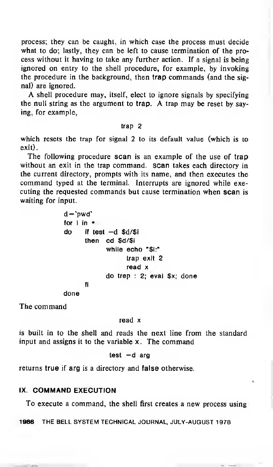process; they can be caught, in which case the process must decide what to do; lastly, they can be left to cause termination of the process without it having to take any further action. If a signal is being ignored on entry to the shell procedure, for example, by invoking the procedure in the background, then trap commands (and the signal) are ignored.

A shell procedure may, itself, elect to ignore signals by specifying the null string as the argument to trap. A trap may be reset by saying, for example,

#### trap 2

which resets the trap for signal 2 to its default value (which is to exit).

The following procedure scan is an example of the use of trap without an exit in the trap command, scan takes each directory in the current directory, prompts with its name, and then executes the command typed at the terminal. Interrupts are ignored while executing the requested commands but cause termination when scan is waiting for input.

| $d = 'pwd'$        |                      |                             |  |  |
|--------------------|----------------------|-----------------------------|--|--|
| for $i$ in $\star$ |                      |                             |  |  |
| do l               | if test $-d$ \$d/\$i |                             |  |  |
|                    |                      | then cd \$d/\$i             |  |  |
|                    |                      | while echo "\$i:"           |  |  |
|                    |                      | trap exit 2                 |  |  |
|                    |                      | read x                      |  |  |
|                    |                      | do trep : 2; evai \$x; done |  |  |
|                    | fi                   |                             |  |  |
| done               |                      |                             |  |  |

The command

read x

is built in to the shell and reads the next line from the standard input and assigns it to the variable  $x$ . The command

```
test —d arg
```
returns true if arg is a directory and false otherwise.

# IX. COMMAND EXECUTION

To execute <sup>a</sup> command, the shell first creates <sup>a</sup> new process using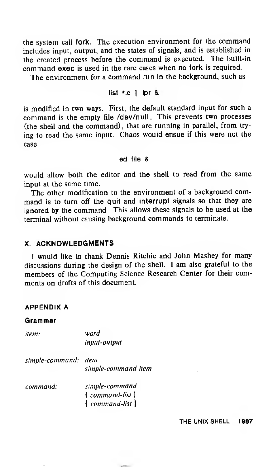the system call fork. The execution environment for the command includes input, output, and the states of signals, and is established in the created process before the command is executed. The built-in command exec is used in the rare cases when no fork is required.

The environment for <sup>a</sup> command run in the background, such as

# list \*.c <sup>|</sup> ipr &

is modified in two ways. First, the default standard input for such <sup>a</sup> command is the empty file /dev/null. This prevents two processes (the shell and the command), that are running in parallel, from trying to read the same input. Chaos would ensue if this were not the case.

#### ed file &

would allow both the editor and the shell to read from the same input at the same time.

The other modification to the environment of <sup>a</sup> background command is to turn off the quit and interrupt signals so that they are ignored by the command. This allows these signals to be used at the terminal without causing background commands to terminate.

# X. ACKNOWLEDGMENTS

<sup>I</sup> would like to thank Dennis Ritchie and John Mashey for many discussions during the design of the shell. <sup>I</sup> am also grateful to the members of the Computing Science Research Center for their comments on drafts of this document.

#### APPENDIX A

### Grammar

| item:                | word<br>input-output                                   |
|----------------------|--------------------------------------------------------|
| simple-command: item | simple-command item                                    |
| command:             | simple-command<br>(command-list)<br>$\{command-list\}$ |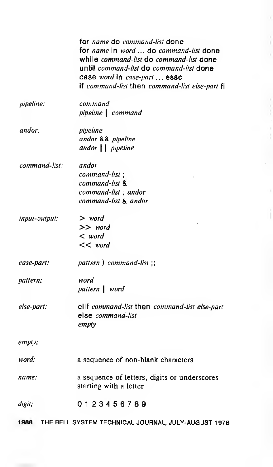|                  | for <i>name</i> do <i>command-list</i> done<br>for name in word  do command-list done<br>while command-list do command-list done<br>until command-list do command-list done<br>case word in case-part  essc<br>if command-list then command-list else-part fi |
|------------------|---------------------------------------------------------------------------------------------------------------------------------------------------------------------------------------------------------------------------------------------------------------|
| <i>pipeline:</i> | command<br>pipeline   command                                                                                                                                                                                                                                 |
| andor:           | pipeline<br>andor && pipeline<br>andor     pipeline                                                                                                                                                                                                           |
| command-list:    | andor<br>command-list:<br>command-list &<br>command-list; andor<br>command-list & andor                                                                                                                                                                       |
| input-output:    | $>$ word<br>$>>$ word<br>< word<br>$<<$ word                                                                                                                                                                                                                  |
| case-part:       | pattern ) command-list ::                                                                                                                                                                                                                                     |
| pattern:         | word<br>pattern   word                                                                                                                                                                                                                                        |
| else-part        | elif command-list then command-list else-part<br>else command-list<br>empty                                                                                                                                                                                   |
| empty:           |                                                                                                                                                                                                                                                               |
| word:            | a sequence of non-blank characters                                                                                                                                                                                                                            |
| name:            | a sequence of letters, digits or underscores<br>starting with a letter                                                                                                                                                                                        |
| digit:           | 0123456789                                                                                                                                                                                                                                                    |
| 1988             | THE BELL SYSTEM TECHNICAL JOURNAL, JULY-AUGUST 1978                                                                                                                                                                                                           |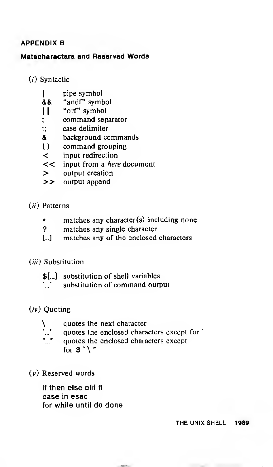# APPENDIX B

# Metacharacters and Reserved Words

- (/) Syntactic
	-
	- | pipe symbol<br>**88** "andf" symbol "andf" symbol
	- II "orf" symbol
	- ; command separator
	- $\cdots$  case delimiter
	- & background commands
	- () command grouping
	- < input redirection
	- << input from a *here* document
	- > output creation<br>>> output append
	-

# (/'/) Patterns

- $m$ atches any character (s) including none
- ? matches any single character
- [...] matches any of the enclosed characters

# $(iii)$  Substitution

- \${...} substitution of shell variables
- : substitution of command output
- (iv) Quoting
	- quotes the next character ∖
	- quotes the enclosed characters except for '
		- quotes the enclosed characters except for \$ ' \ "
- (v) Reserved words

if then else elif fi case in esac for while until do done